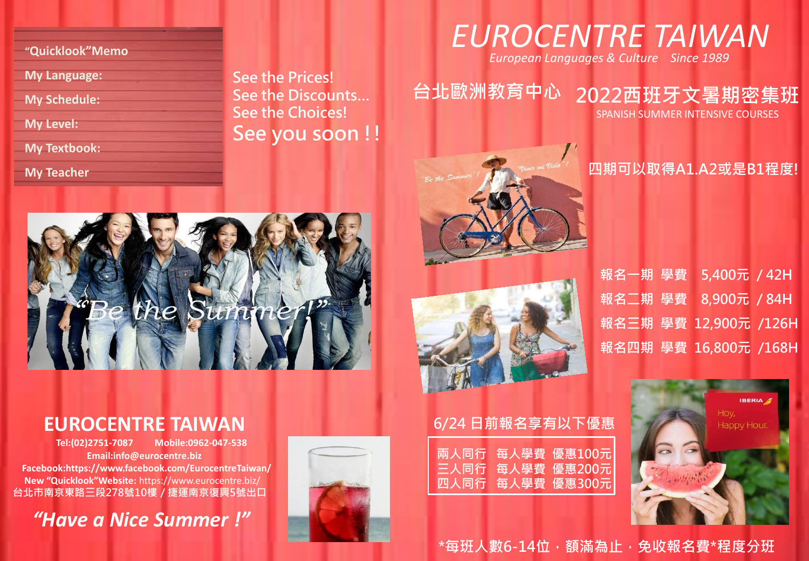**"Quicklook"Memo**

**My Language:**

**My Schedule:**

**My Level:**

**My Textbook:**

**My Teacher**

See the Prices! See the Discounts… See the Choices! See you soon !!

# the Summer

### **EUROCENTRE TAIWAN**

 **Tel:(02)2751-7087 Mobile:0962-047-538 Email:info@eurocentre.biz Facebook:https://www.facebook.com/EurocentreTaiwan/ New "Quicklook"Website:** https://www.eurocentre.biz/ 台北市南京東路三段278號10樓 / 捷運南京復興5號出口

*"Have a Nice Summer !"*





*European Languages & Culture Since 1989*

# 台北歐洲教育中心 2022西班牙文暑期密集班

SPANISH SUMMER INTENSIVE COURSES

#### 四期可以取得A1.A2或是B1程度!

報名一期 學費 5,400元 / 42H 報名二期 學費 8,900元 / 84H 報名三期 學費 12,900元 /126H 報名四期 學費 16,800元 /168H



\*每班人數6-14位,額滿為止,免收報名費\*程度分班

每人學費 優惠100元 三人同行 每人學費 優惠200元

四人同行 每人學費 優惠300元

6/24 日前報名享有以下優惠